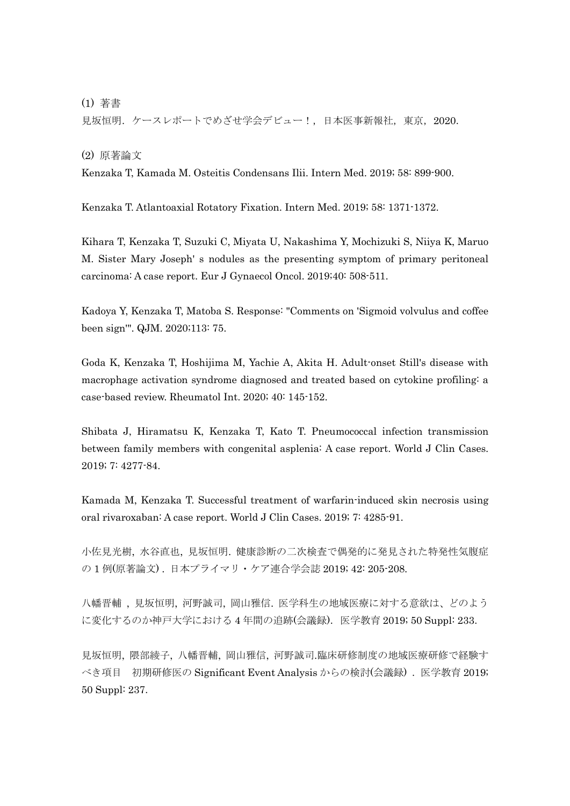(1) 著書

見坂恒明. ケースレポートでめざせ学会デビュー!,日本医事新報社,東京, 2020.

(2) 原著論文

Kenzaka T, Kamada M. Osteitis Condensans Ilii. Intern Med. 2019; 58: 899-900.

Kenzaka T. Atlantoaxial Rotatory Fixation. Intern Med. 2019; 58: 1371-1372.

Kihara T, Kenzaka T, Suzuki C, Miyata U, Nakashima Y, Mochizuki S, Niiya K, Maruo M. Sister Mary Joseph' s nodules as the presenting symptom of primary peritoneal carcinoma: A case report. Eur J Gynaecol Oncol. 2019;40: 508-511.

Kadoya Y, Kenzaka T, Matoba S. Response: "Comments on 'Sigmoid volvulus and coffee been sign'". QJM. 2020;113: 75.

Goda K, Kenzaka T, Hoshijima M, Yachie A, Akita H. Adult-onset Still's disease with macrophage activation syndrome diagnosed and treated based on cytokine profiling: a case-based review. Rheumatol Int. 2020; 40: 145-152.

Shibata J, Hiramatsu K, Kenzaka T, Kato T. Pneumococcal infection transmission between family members with congenital asplenia: A case report. World J Clin Cases. 2019; 7: 4277-84.

Kamada M, Kenzaka T. Successful treatment of warfarin-induced skin necrosis using oral rivaroxaban: A case report. World J Clin Cases. 2019; 7: 4285-91.

小佐見光樹, 水谷直也, 見坂恒明. 健康診断の二次検査で偶発的に発見された特発性気腹症 の 1 例(原著論文) . 日本プライマリ・ケア連合学会誌 2019; 42: 205-208.

八幡晋輔 , 見坂恒明, 河野誠司, 岡山雅信. 医学科生の地域医療に対する意欲は、どのよう に変化するのか神戸大学における 4 年間の追跡(会議録). 医学教育 2019; 50 Suppl: 233.

見坂恒明, 隈部綾子, 八幡晋輔, 岡山雅信, 河野誠司.臨床研修制度の地域医療研修で経験す べき項目 初期研修医の Significant Event Analysis からの検討(会議録). 医学教育 2019; 50 Suppl: 237.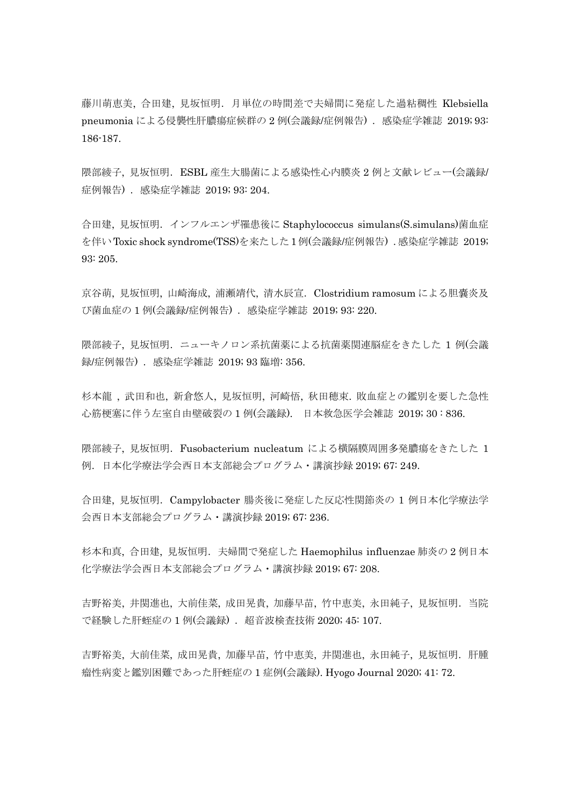藤川萌恵美, 合田建, 見坂恒明.月単位の時間差で夫婦間に発症した過粘稠性 Klebsiella pneumonia による侵襲性肝膿瘍症候群の 2 例(会議録/症例報告) . 感染症学雑誌 2019; 93: 186-187.

隈部綾子, 見坂恒明.ESBL 産生大腸菌による感染性心内膜炎 2 例と文献レビュー(会議録/ 症例報告). 感染症学雑誌 2019; 93: 204.

合田建, 見坂恒明.インフルエンザ罹患後に Staphylococcus simulans(S.simulans)菌血症 を伴いToxic shock syndrome(TSS)を来たした1例(会議録/症例報告) .感染症学雑誌 2019; 93: 205.

京谷萌, 見坂恒明, 山崎海成, 浦瀬靖代, 清水辰宣. Clostridium ramosum による胆嚢炎及 び菌血症の 1 例(会議録/症例報告) . 感染症学雑誌 2019; 93: 220.

隈部綾子, 見坂恒明.ニューキノロン系抗菌薬による抗菌薬関連脳症をきたした 1 例(会議 録/症例報告). 感染症学雑誌 2019; 93 臨増: 356.

杉本龍 , 武田和也, 新倉悠人, 見坂恒明, 河崎悟, 秋田穂束. 敗血症との鑑別を要した急性 心筋梗塞に伴う左室自由壁破裂の 1 例(会議録). 日本救急医学会雑誌 2019; 30 : 836.

隈部綾子, 見坂恒明. Fusobacterium nucleatum による横隔膜周囲多発膿瘍をきたした 1 例.日本化学療法学会西日本支部総会プログラム・講演抄録 2019; 67: 249.

合田建, 見坂恒明.Campylobacter 腸炎後に発症した反応性関節炎の 1 例日本化学療法学 会西日本支部総会プログラム・講演抄録 2019; 67: 236.

杉本和真, 合田建, 見坂恒明. 夫婦間で発症した Haemophilus influenzae 肺炎の2例日本 化学療法学会西日本支部総会プログラム・講演抄録 2019; 67: 208.

吉野裕美, 井関進也, 大前佳菜, 成田晃貴, 加藤早苗, 竹中恵美, 永田純子, 見坂恒明.当院 で経験した肝蛭症の1例(会議録). 超音波検査技術 2020; 45: 107.

吉野裕美, 大前佳菜, 成田晃貴, 加藤早苗, 竹中恵美, 井関進也, 永田純子, 見坂恒明.肝腫 瘤性病変と鑑別困難であった肝蛭症の 1 症例(会議録). Hyogo Journal 2020; 41: 72.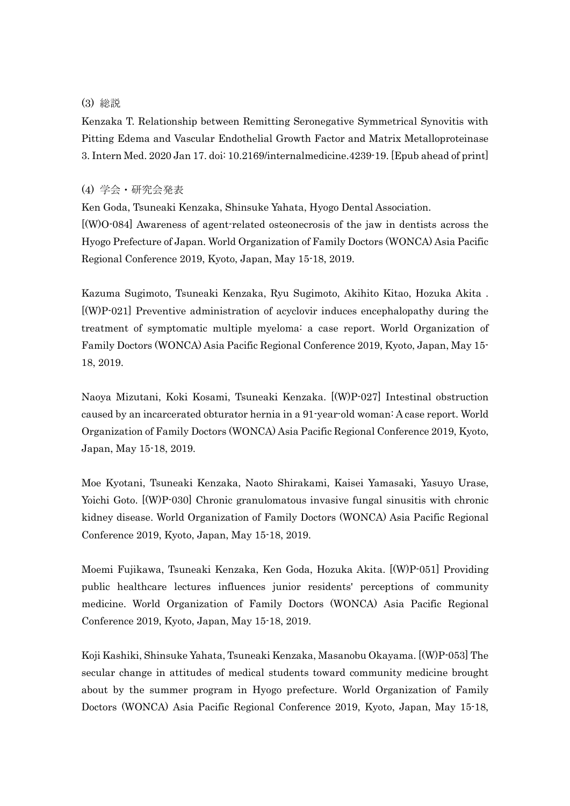## (3) 総説

Kenzaka T. Relationship between Remitting Seronegative Symmetrical Synovitis with Pitting Edema and Vascular Endothelial Growth Factor and Matrix Metalloproteinase 3. Intern Med. 2020 Jan 17. doi: 10.2169/internalmedicine.4239-19. [Epub ahead of print]

## (4) 学会・研究会発表

Ken Goda, Tsuneaki Kenzaka, Shinsuke Yahata, Hyogo Dental Association. [(W)O-084] Awareness of agent-related osteonecrosis of the jaw in dentists across the Hyogo Prefecture of Japan. World Organization of Family Doctors (WONCA) Asia Pacific Regional Conference 2019, Kyoto, Japan, May 15-18, 2019.

Kazuma Sugimoto, Tsuneaki Kenzaka, Ryu Sugimoto, Akihito Kitao, Hozuka Akita . [(W)P-021] Preventive administration of acyclovir induces encephalopathy during the treatment of symptomatic multiple myeloma: a case report. World Organization of Family Doctors (WONCA) Asia Pacific Regional Conference 2019, Kyoto, Japan, May 15- 18, 2019.

Naoya Mizutani, Koki Kosami, Tsuneaki Kenzaka. [(W)P-027] Intestinal obstruction caused by an incarcerated obturator hernia in a 91-year-old woman: A case report. World Organization of Family Doctors (WONCA) Asia Pacific Regional Conference 2019, Kyoto, Japan, May 15-18, 2019.

Moe Kyotani, Tsuneaki Kenzaka, Naoto Shirakami, Kaisei Yamasaki, Yasuyo Urase, Yoichi Goto. [(W)P-030] Chronic granulomatous invasive fungal sinusitis with chronic kidney disease. World Organization of Family Doctors (WONCA) Asia Pacific Regional Conference 2019, Kyoto, Japan, May 15-18, 2019.

Moemi Fujikawa, Tsuneaki Kenzaka, Ken Goda, Hozuka Akita. [(W)P-051] Providing public healthcare lectures influences junior residents' perceptions of community medicine. World Organization of Family Doctors (WONCA) Asia Pacific Regional Conference 2019, Kyoto, Japan, May 15-18, 2019.

Koji Kashiki, Shinsuke Yahata, Tsuneaki Kenzaka, Masanobu Okayama. [(W)P-053] The secular change in attitudes of medical students toward community medicine brought about by the summer program in Hyogo prefecture. World Organization of Family Doctors (WONCA) Asia Pacific Regional Conference 2019, Kyoto, Japan, May 15-18,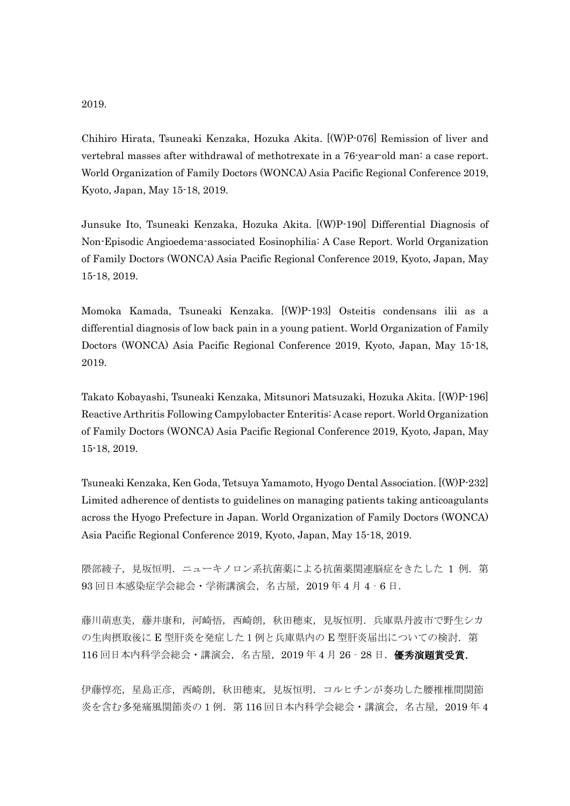## 2019.

Chihiro Hirata, Tsuneaki Kenzaka, Hozuka Akita. [(W)P-076] Remission of liver and vertebral masses after withdrawal of methotrexate in a 76-year-old man: a case report. World Organization of Family Doctors (WONCA) Asia Pacific Regional Conference 2019, Kyoto, Japan, May 15-18, 2019.

Junsuke Ito, Tsuneaki Kenzaka, Hozuka Akita. [(W)P-190] Differential Diagnosis of Non-Episodic Angioedema-associated Eosinophilia: A Case Report. World Organization of Family Doctors (WONCA) Asia Pacific Regional Conference 2019, Kyoto, Japan, May 15-18, 2019.

Momoka Kamada, Tsuneaki Kenzaka. [(W)P-193] Osteitis condensans ilii as a differential diagnosis of low back pain in a young patient. World Organization of Family Doctors (WONCA) Asia Pacific Regional Conference 2019, Kyoto, Japan, May 15-18, 2019.

Takato Kobayashi, Tsuneaki Kenzaka, Mitsunori Matsuzaki, Hozuka Akita. [(W)P-196] Reactive Arthritis Following Campylobacter Enteritis: A case report. World Organization of Family Doctors (WONCA) Asia Pacific Regional Conference 2019, Kyoto, Japan, May 15-18, 2019.

Tsuneaki Kenzaka, Ken Goda, Tetsuya Yamamoto, Hyogo Dental Association. [(W)P-232] Limited adherence of dentists to guidelines on managing patients taking anticoagulants across the Hyogo Prefecture in Japan. World Organization of Family Doctors (WONCA) Asia Pacific Regional Conference 2019, Kyoto, Japan, May 15-18, 2019.

隈部綾子,見坂恒明. ニューキノロン系抗菌薬による抗菌薬関連脳症をきたした 1 例. 第 93 回日本感染症学会総会・学術講演会,名古屋,2019 年 4 月 4‐6 日.

藤川萌恵美,藤井康和,河崎悟,西崎朗,秋田穂束,見坂恒明.兵庫県丹波市で野生シカ の生肉摂取後に E 型肝炎を発症した1例と兵庫県内の E 型肝炎届出についての検討. 第  $116$  回日本内科学会総会·講演会,名古屋,  $2019$  年 4 月 26 - 28 日. 優秀演題賞受賞.

伊藤惇亮,星島正彦,西崎朗,秋田穂束,見坂恒明.コルヒチンが奏功した腰椎椎間関節 炎を含む多発痛風関節炎の1例. 第116回日本内科学会総会·講演会,名古屋, 2019年4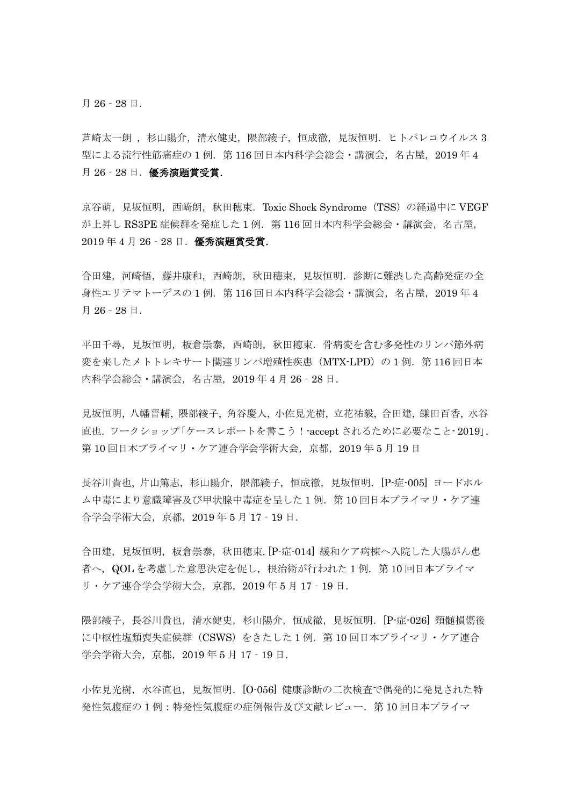月 26‐28 日.

芦崎太一朗 , 杉山陽介, 清水健史, 隈部綾子, 恒成徹, 見坂恒明. ヒトパレコウイルス 3 型による流行性筋痛症の1例. 第116回日本内科学会総会・講演会, 名古屋, 2019年4 月 26‐28 日.優秀演題賞受賞.

京谷萌, 見坂恒明, 西崎朗, 秋田穂束. Toxic Shock Syndrome (TSS) の経過中に VEGF が上昇し RS3PE 症候群を発症した1例. 第116回日本内科学会総会·講演会, 名古屋, 2019 年 4 月 26‐28 日.優秀演題賞受賞.

合田建,河崎悟,藤井康和,西崎朗,秋田穂束,見坂恒明.診断に難渋した高齢発症の全 身性エリテマトーデスの 1 例. 第 116 回日本内科学会総会・講演会, 名古屋, 2019 年 4 月 26‐28 日.

平田千尋,見坂恒明,板倉崇泰,西崎朗,秋田穂束.骨病変を含む多発性のリンパ節外病 変を来したメトトレキサート関連リンパ増殖性疾患(MTX-LPD)の1例. 第116回日本 内科学会総会・講演会,名古屋,2019 年 4 月 26‐28 日.

見坂恒明, 八幡晋輔, 隈部綾子, 角谷慶人, 小佐見光樹, 立花祐毅, 合田建, 鎌田百香, 水谷 直也. ワークショップ「ケースレポートを書こう!-accept されるために必要なこと- 2019」. 第 10 回日本プライマリ・ケア連合学会学術大会,京都,2019 年 5 月 19 日

長谷川貴也,片山篤志,杉山陽介,隈部綾子,恒成徹,見坂恒明. [P-症-005] ヨードホル ム中毒により意識障害及び甲状腺中毒症を呈した 1 例.第 10 回日本プライマリ・ケア連 合学会学術大会,京都,2019 年 5 月 17‐19 日.

合田建,見坂恒明,板倉崇泰,秋田穂束. [P-症-014] 緩和ケア病棟へ入院した大腸がん患 者へ,QOL を考慮した意思決定を促し,根治術が行われた 1 例.第 10 回日本プライマ リ・ケア連合学会学術大会,京都,2019 年 5 月 17‐19 日.

隈部綾子,長谷川貴也,清水健史,杉山陽介,恒成徹,見坂恒明.[P-症-026] 頸髄損傷後 に中枢性塩類喪失症候群(CSWS)をきたした 1例. 第10回日本プライマリ・ケア連合 学会学術大会,京都,2019 年 5 月 17‐19 日.

小佐見光樹,水谷直也,見坂恒明. [O-056] 健康診断の二次検査で偶発的に発見された特 発性気腹症の 1 例:特発性気腹症の症例報告及び文献レビュー.第 10 回日本プライマ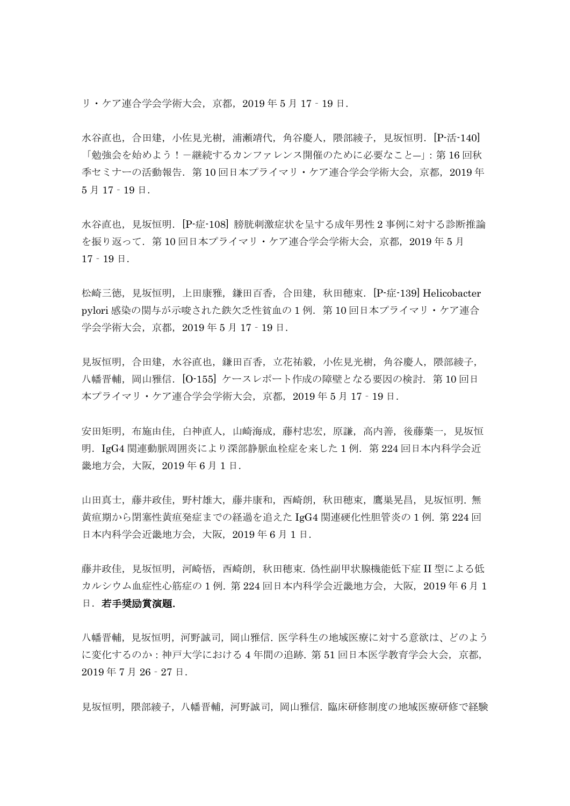リ・ケア連合学会学術大会,京都,2019 年 5 月 17‐19 日.

水谷直也,合田建,小佐見光樹,浦瀬靖代,角谷慶人,隈部綾子,見坂恒明. [P-活-140] 「勉強会を始めよう!-継続するカンファレンス開催のために必要なこと―」:第 16 回秋 季セミナーの活動報告.第 10 回日本プライマリ・ケア連合学会学術大会,京都,2019 年 5 月 17‐19 日.

水谷直也, 見坂恒明. [P-症-108] 膀胱刺激症状を呈する成年男性 2 事例に対する診断推論 を振り返って.第 10 回日本プライマリ・ケア連合学会学術大会,京都,2019 年 5 月  $17 - 19$   $\Box$ .

松崎三徳, 見坂恒明, 上田康雅, 鎌田百香, 合田建, 秋田穂束. [P-症-139] Helicobacter pylori 感染の関与が示唆された鉄欠乏性貧血の1例. 第10回日本プライマリ・ケア連合 学会学術大会,京都,2019 年 5 月 17‐19 日.

見坂恒明, 合田建, 水谷直也, 鎌田百香, 立花祐毅, 小佐見光樹, 角谷慶人, 隈部綾子, 八幡晋輔,岡山雅信. [O-155] ケースレポート作成の障壁となる要因の検討. 第10回日 本プライマリ・ケア連合学会学術大会,京都,2019 年 5 月 17‐19 日.

安田矩明,布施由佳,白神直人,山崎海成,藤村忠宏,原謙,高内善,後藤葉一,見坂恒 明.IgG4 関連動脈周囲炎により深部静脈血栓症を来した 1 例.第 224 回日本内科学会近 畿地方会,大阪,2019 年 6 月 1 日.

山田真士,藤井政佳,野村雄大,藤井康和,西崎朗,秋田穂束,鷹巣晃昌,見坂恒明. 無 黄疸期から閉塞性黄疸発症までの経過を追えた IgG4 関連硬化性胆管炎の 1 例. 第 224 回 日本内科学会近畿地方会,大阪,2019 年 6 月 1 日.

藤井政佳, 見坂恒明, 河崎悟, 西崎朗, 秋田穂束. 偽性副甲状腺機能低下症 II 型による低 カルシウム血症性心筋症の 1 例. 第 224 回日本内科学会近畿地方会,大阪,2019 年 6 月 1 日. 若手奨励賞演題.

八幡晋輔,見坂恒明,河野誠司,岡山雅信. 医学科生の地域医療に対する意欲は、どのよう に変化するのか:神戸大学における 4 年間の追跡. 第 51 回日本医学教育学会大会,京都, 2019 年 7 月 26‐27 日.

見坂恒明,隈部綾子,八幡晋輔,河野誠司,岡山雅信.臨床研修制度の地域医療研修で経験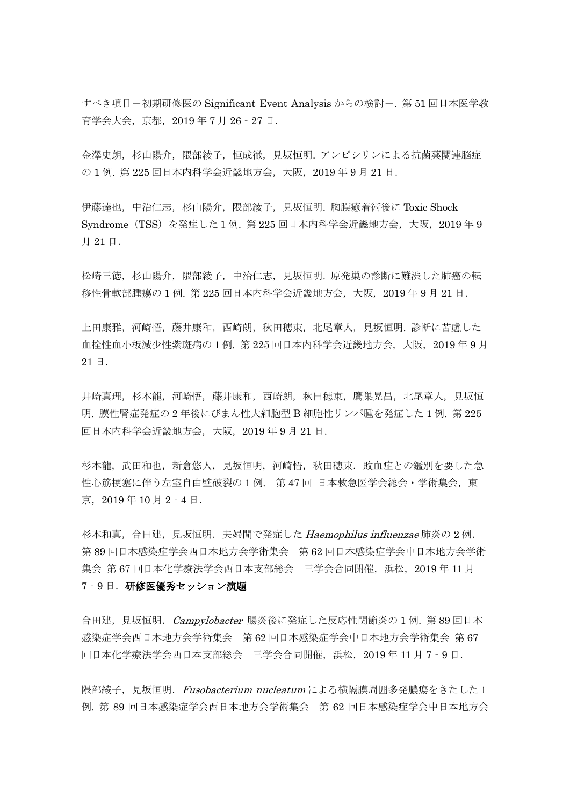すべき項目-初期研修医の Significant Event Analysis からの検討-. 第51回日本医学教 育学会大会,京都,2019 年 7 月 26‐27 日.

金澤史朗,杉山陽介,隈部綾子,恒成徹,見坂恒明. アンピシリンによる抗菌薬関連脳症 の 1 例. 第 225 回日本内科学会近畿地方会,大阪,2019 年 9 月 21 日.

伊藤達也,中治仁志,杉山陽介,隈部綾子,見坂恒明. 胸膜癒着術後に Toxic Shock Syndrome(TSS)を発症した1例. 第 225 回日本内科学会近畿地方会,大阪,2019 年 9 月 21 日.

松崎三徳,杉山陽介,隈部綾子,中治仁志,見坂恒明.原発巣の診断に難渋した肺癌の転 移性骨軟部腫瘍の 1 例. 第 225 回日本内科学会近畿地方会,大阪,2019 年 9 月 21 日.

上田康雅,河崎悟,藤井康和,西崎朗,秋田穂束,北尾章人,見坂恒明. 診断に苦慮した 血栓性血小板減少性紫斑病の1例. 第 225 回日本内科学会近畿地方会,大阪,2019 年 9 月 21 日.

井崎真理,杉本龍,河崎悟,藤井康和,西崎朗,秋田穂束,鷹巣晃昌,北尾章人,見坂恒 明. 膜性腎症発症の 2 年後にびまん性大細胞型 B 細胞性リンパ腫を発症した 1 例. 第 225 回日本内科学会近畿地方会,大阪,2019 年 9 月 21 日.

杉本龍,武田和也,新倉悠人,見坂恒明,河崎悟,秋田穂束. 敗血症との鑑別を要した急 性心筋梗塞に伴う左室自由壁破裂の1例. 第47回 日本救急医学会総会・学術集会, 東 京,2019 年 10 月 2‐4 日.

杉本和真,合田建,見坂恒明.夫婦間で発症した *Haemophilus influenzae* 肺炎の 2 例. 第 89 回日本感染症学会西日本地方会学術集会 第 62 回日本感染症学会中日本地方会学術 集会 第 67 回日本化学療法学会西日本支部総会 三学会合同開催, 浜松, 2019 年 11 月 7-9日. 研修医優秀セッション演題

合田建, 見坂恒明. Campylobacter 腸炎後に発症した反応性関節炎の1例. 第 89 回日本 感染症学会西日本地方会学術集会 第 62 回日本感染症学会中日本地方会学術集会 第 67 回日本化学療法学会西日本支部総会 三学会合同開催,浜松,2019 年 11 月 7‐9 日.

隈部綾子,見坂恒明. Fusobacterium nucleatumによる横隔膜周囲多発膿瘍をきたした1 例. 第 89 回日本感染症学会西日本地方会学術集会 第 62 回日本感染症学会中日本地方会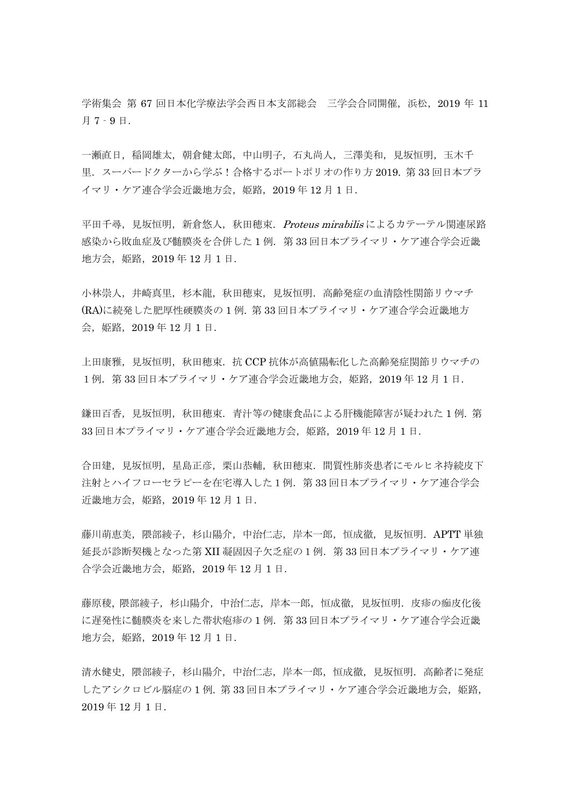学術集会 第 67 回日本化学療法学会西日本支部総会 三学会合同開催, 浜松, 2019 年 11 月 7‐9 日.

一瀬直日,稲岡雄太,朝倉健太郎,中山明子,石丸尚人,三澤美和,見坂恒明,玉木千 里.スーパードクターから学ぶ!合格するポートポリオの作り方 2019. 第 33 回日本プラ イマリ・ケア連合学会近畿地方会,姫路,2019 年 12 月 1 日.

平田千尋, 見坂恒明, 新倉悠人, 秋田穂束. Proteus mirabilis によるカテーテル関連尿路 感染から敗血症及び髄膜炎を合併した1例. 第33回日本プライマリ・ケア連合学会近畿 地方会,姫路,2019 年 12 月 1 日.

小林崇人,井崎真里,杉本龍,秋田穂束,見坂恒明.高齢発症の血清陰性関節リウマチ (RA)に続発した肥厚性硬膜炎の 1 例. 第 33 回日本プライマリ・ケア連合学会近畿地方 会,姫路,2019 年 12 月 1 日.

上田康雅,見坂恒明,秋田穂束.抗 CCP 抗体が高値陽転化した高齢発症関節リウマチの 1例.第 33 回日本プライマリ・ケア連合学会近畿地方会,姫路,2019 年 12 月 1 日.

鎌田百香, 見坂恒明, 秋田穂束. 青汁等の健康食品による肝機能障害が疑われた 1 例. 第 33 回日本プライマリ・ケア連合学会近畿地方会,姫路, 2019 年 12 月 1 日.

合田建,見坂恒明,星島正彦,栗山恭輔,秋田穂束. 間質性肺炎患者にモルヒネ持続皮下 注射とハイフローセラピーを在宅導入した1例.第 33 回日本プライマリ・ケア連合学会 近畿地方会, 姫路, 2019年12月1日.

藤川萌恵美,隈部綾子,杉山陽介,中治仁志,岸本一郎,恒成徹,見坂恒明.APTT 単独 延長が診断契機となった第 XII 凝固因子欠乏症の1例.第 33 回日本プライマリ・ケア連 合学会近畿地方会,姫路,2019 年 12 月 1 日.

藤原稜, 隈部綾子, 杉山陽介, 中治仁志, 岸本一郎, 恒成徹, 見坂恒明. 皮疹の痂皮化後 に遅発性に髄膜炎を来した帯状疱疹の1例. 第33回日本プライマリ・ケア連合学会近畿 地方会,姫路,2019 年 12 月 1 日.

清水健史,隈部綾子,杉山陽介,中治仁志,岸本一郎,恒成徹,見坂恒明. 高齢者に発症 したアシクロビル脳症の1例. 第33回日本プライマリ・ケア連合学会近畿地方会,姫路, 2019 年 12 月 1 日.